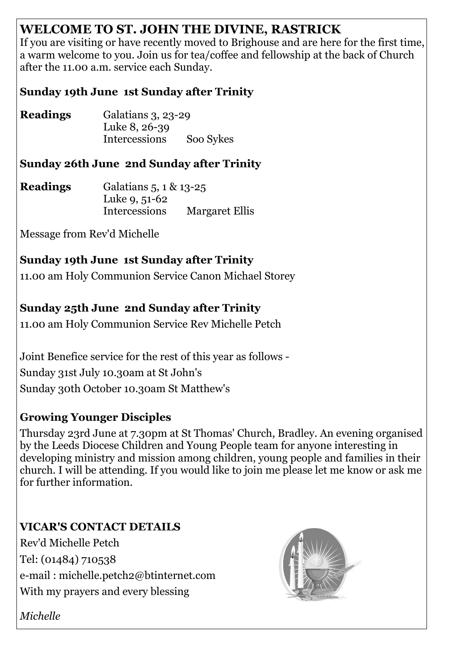# **WELCOME TO ST. JOHN THE DIVINE, RASTRICK**

If you are visiting or have recently moved to Brighouse and are here for the first time, a warm welcome to you. Join us for tea/coffee and fellowship at the back of Church after the 11.00 a.m. service each Sunday.

### **Sunday 19th June 1st Sunday after Trinity**

**Readings** Galatians 3, 23-29 Luke 8, 26-39 Intercessions Soo Sykes

### **Sunday 26th June 2nd Sunday after Trinity**

**Readings** Galatians 5, 1 & 13-25 Luke 9, 51-62 Intercessions Margaret Ellis

Message from Rev'd Michelle

# **Sunday 19th June 1st Sunday after Trinity**

11.00 am Holy Communion Service Canon Michael Storey

## **Sunday 25th June 2nd Sunday after Trinity**

11.00 am Holy Communion Service Rev Michelle Petch

Joint Benefice service for the rest of this year as follows - Sunday 31st July 10.30am at St John's Sunday 30th October 10.30am St Matthew's

### **Growing Younger Disciples**

Thursday 23rd June at 7.30pm at St Thomas' Church, Bradley. An evening organised by the Leeds Diocese Children and Young People team for anyone interesting in developing ministry and mission among children, young people and families in their church. I will be attending. If you would like to join me please let me know or ask me for further information.

**VICAR'S CONTACT DETAILS** Rev'd Michelle Petch Tel: (01484) 710538 e-mail : michelle.petch2@btinternet.com With my prayers and every blessing



*Michelle*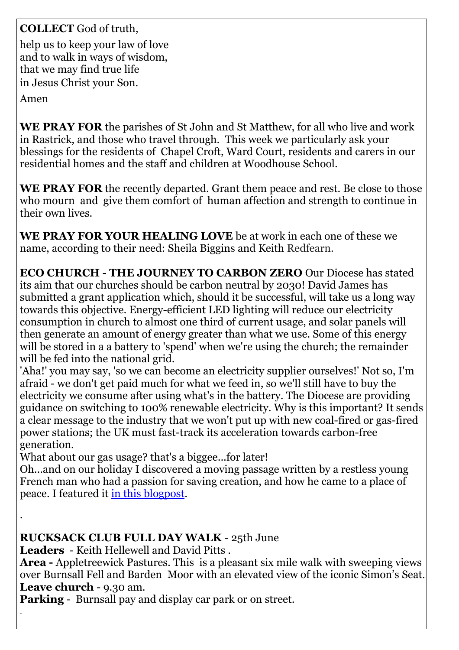### **COLLECT** God of truth,

help us to keep your law of love and to walk in ways of wisdom, that we may find true life in Jesus Christ your Son.

Amen

.

**WE PRAY FOR** the parishes of St John and St Matthew, for all who live and work in Rastrick, and those who travel through. This week we particularly ask your blessings for the residents of Chapel Croft, Ward Court, residents and carers in our residential homes and the staff and children at Woodhouse School.

**WE PRAY FOR** the recently departed. Grant them peace and rest. Be close to those who mourn and give them comfort of human affection and strength to continue in their own lives.

**WE PRAY FOR YOUR HEALING LOVE** be at work in each one of these we name, according to their need: Sheila Biggins and Keith Redfearn.

**ECO CHURCH - THE JOURNEY TO CARBON ZERO** Our Diocese has stated its aim that our churches should be carbon neutral by 2030! David James has submitted a grant application which, should it be successful, will take us a long way towards this objective. Energy-efficient LED lighting will reduce our electricity consumption in church to almost one third of current usage, and solar panels will then generate an amount of energy greater than what we use. Some of this energy will be stored in a a battery to 'spend' when we're using the church; the remainder will be fed into the national grid.

'Aha!' you may say, 'so we can become an electricity supplier ourselves!' Not so, I'm afraid - we don't get paid much for what we feed in, so we'll still have to buy the electricity we consume after using what's in the battery. The Diocese are providing guidance on switching to 100% renewable electricity. Why is this important? It sends a clear message to the industry that we won't put up with new coal-fired or gas-fired power stations; the UK must fast-track its acceleration towards carbon-free generation.

What about our gas usage? that's a biggee...for later!

Oh...and on our holiday I discovered a moving passage written by a restless young French man who had a passion for saving creation, and how he came to a place of peace. I featured it [in this blogpost.](https://johnhearsonwrites.com/2022/05/23/to-be-a-pilgrim/)

#### **RUCKSACK CLUB FULL DAY WALK** - 25th June

**Leaders** - Keith Hellewell and David Pitts .

**Area -** Appletreewick Pastures. This is a pleasant six mile walk with sweeping views over Burnsall Fell and Barden Moor with an elevated view of the iconic Simon's Seat. Leave church - 9.30 am.

**Parking** - Burnsall pay and display car park or on street. .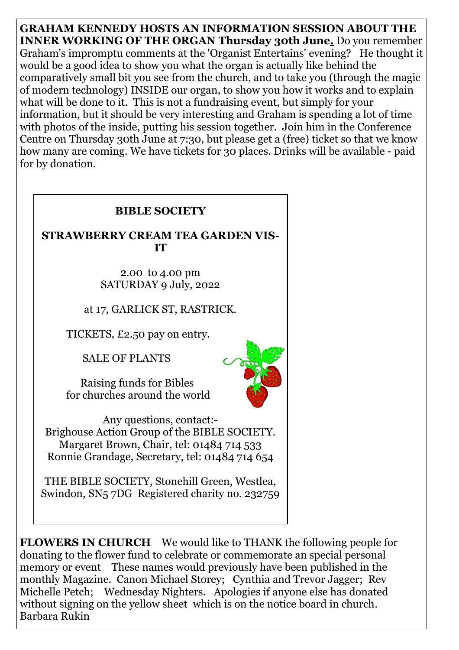**GRAHAM KENNEDY HOSTS AN INFORMATION SESSION ABOUT THE INNER WORKING OF THE ORGAN Thursday 30th June.** Do you remember Graham's impromptu comments at the 'Organist Entertains' evening? He thought it would be a good idea to show you what the organ is actually like behind the comparatively small bit you see from the church, and to take you (through the magic of modern technology) INSIDE our organ, to show you how it works and to explain what will be done to it. This is not a fundraising event, but simply for your information, but it should be very interesting and Graham is spending a lot of time with photos of the inside, putting his session together. Join him in the Conference Centre on Thursday 30th June at 7:30, but please get a (free) ticket so that we know how many are coming. We have tickets for 30 places. Drinks will be available - paid for by donation.



**FLOWERS IN CHURCH** We would like to THANK the following people for donating to the flower fund to celebrate or commemorate an special personal memory or event These names would previously have been published in the monthly Magazine. Canon Michael Storey; Cynthia and Trevor Jagger; Rev Michelle Petch; Wednesday Nighters. Apologies if anyone else has donated without signing on the yellow sheet which is on the notice board in church. Barbara Rukin